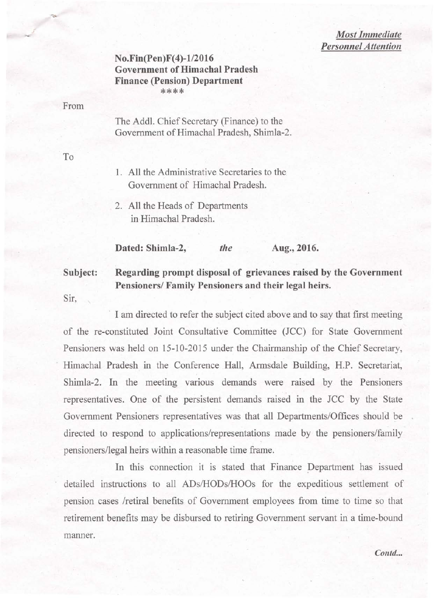*Most Immediate Personnel Attention* 

## $No. Fin (Pen)F(4) - 1/2016$ Government of Himachal Pradesh Finance (Pension) Department \*\*\*\*

From

.'

The Addl. Chief Secretary (Finance) to the Government of Himachal Pradesh, Shimla-2.

To

- 1. All the Administrative Secretaries to the Government of Himachal Pradesh.
- 2. All the Heads of Departments in-Himachal Pradesh.

Dated: Shimla-2, *the* Aug., 2016.

## Subject: Regarding prompt disposal of grievances raised by the Government Pensioners/ Family Pensioners and their legal heirs.

Sir,

I am directed to refer the subject cited above and to say that first meeting of the re-constituted Joint Consultative Committee (JCC) for State Government Pensioners was held on 15-10-2015 under the Chairmanship of the Chief Secretary, Himachal Pradesh in the Conference Hall, Armsdale Building, H.P. Secretariat, Shimla-2. In the meeting various demands were raised by the Pensioners representatives. One of the persistent demands raised in the JCC by the State Government Pensioners representatives was that all Departments/Offices should be directed to respond to applications/representations made by the pensioners/family pensioners/legal heirs within a reasonable time frame.

In this connection it is stated that Finance Department has issued detailed instructions to all ADs/HODs/HOOs for the expeditious settlement of pension cases /retiral benefits of Government employees from time to time so that retirement benefits may be disbursed to retiring Government servant in a time-bound manner.

Contd...